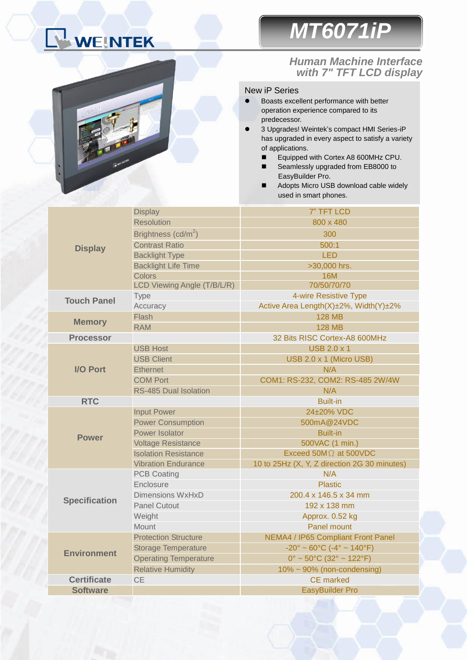# WEINTEK

# *MT6071iP*

### Ĩ. *Human Machine Interface with 7" TFT LCD display*

#### New iP Series

- Boasts excellent performance with better operation experience compared to its predecessor.
- 3 Upgrades! Weintek's compact HMI Series-iP has upgraded in every aspect to satisfy a variety of applications.
	- Equipped with Cortex A8 600MHz CPU.
	- Seamlessly upgraded from EB8000 to EasyBuilder Pro.
	- Adopts Micro USB download cable widely used in smart phones.

| <b>Display</b>       | <b>Display</b>               | 7" TFT LCD                                                         |  |  |
|----------------------|------------------------------|--------------------------------------------------------------------|--|--|
|                      | <b>Resolution</b>            | 800 x 480                                                          |  |  |
|                      | Brightness $(cd/m^2)$        | 300                                                                |  |  |
|                      | <b>Contrast Ratio</b>        | 500:1                                                              |  |  |
|                      | <b>Backlight Type</b>        | <b>LED</b>                                                         |  |  |
|                      | <b>Backlight Life Time</b>   | >30,000 hrs.                                                       |  |  |
|                      | Colors                       | <b>16M</b>                                                         |  |  |
|                      | LCD Viewing Angle (T/B/L/R)  | 70/50/70/70                                                        |  |  |
| <b>Touch Panel</b>   | <b>Type</b>                  | 4-wire Resistive Type                                              |  |  |
|                      | Accuracy                     | Active Area Length(X)±2%, Width(Y)±2%                              |  |  |
| <b>Memory</b>        | Flash                        | <b>128 MB</b>                                                      |  |  |
|                      | <b>RAM</b>                   | <b>128 MB</b>                                                      |  |  |
| <b>Processor</b>     |                              | 32 Bits RISC Cortex-A8 600MHz                                      |  |  |
|                      | <b>USB Host</b>              | <b>USB 2.0 x 1</b>                                                 |  |  |
| <b>I/O Port</b>      | <b>USB Client</b>            | USB 2.0 x 1 (Micro USB)                                            |  |  |
|                      | <b>Ethernet</b>              | N/A                                                                |  |  |
|                      | <b>COM Port</b>              | COM1: RS-232, COM2: RS-485 2W/4W                                   |  |  |
|                      | <b>RS-485 Dual Isolation</b> | N/A                                                                |  |  |
| <b>RTC</b>           |                              | <b>Built-in</b>                                                    |  |  |
|                      | <b>Input Power</b>           | 24±20% VDC                                                         |  |  |
| <b>Power</b>         | <b>Power Consumption</b>     | 500mA@24VDC                                                        |  |  |
|                      | Power Isolator               | <b>Built-in</b>                                                    |  |  |
|                      | <b>Voltage Resistance</b>    | 500VAC (1 min.)                                                    |  |  |
|                      | <b>Isolation Resistance</b>  | Exceed 50M $\Omega$ at 500VDC                                      |  |  |
|                      | <b>Vibration Endurance</b>   | 10 to 25Hz (X, Y, Z direction 2G 30 minutes)                       |  |  |
| <b>Specification</b> | <b>PCB Coating</b>           | N/A                                                                |  |  |
|                      | Enclosure                    | <b>Plastic</b>                                                     |  |  |
|                      | <b>Dimensions WxHxD</b>      | 200.4 x 146.5 x 34 mm                                              |  |  |
|                      | <b>Panel Cutout</b>          | 192 x 138 mm                                                       |  |  |
|                      | Weight                       | Approx. 0.52 kg                                                    |  |  |
|                      | Mount                        | Panel mount                                                        |  |  |
| <b>Environment</b>   | <b>Protection Structure</b>  | NEMA4 / IP65 Compliant Front Panel                                 |  |  |
|                      | <b>Storage Temperature</b>   | $-20^{\circ} \sim 60^{\circ}$ C ( $-4^{\circ} \sim 140^{\circ}$ F) |  |  |
|                      | <b>Operating Temperature</b> | $0^{\circ}$ ~ 50°C (32° ~ 122°F)                                   |  |  |
|                      | <b>Relative Humidity</b>     | 10% ~ 90% (non-condensing)                                         |  |  |
| <b>Certificate</b>   | <b>CE</b>                    | <b>CE</b> marked                                                   |  |  |
| <b>Software</b>      |                              | <b>EasyBuilder Pro</b>                                             |  |  |